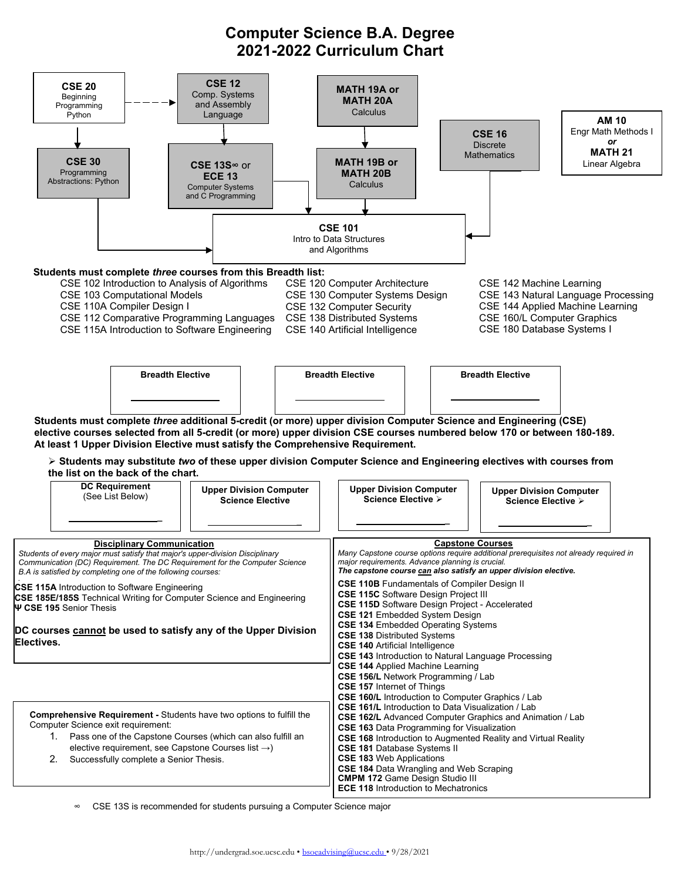## **Computer Science B.A. Degree 2021-2022 Curriculum Chart**



∞ CSE 13S is recommended for students pursuing a Computer Science major